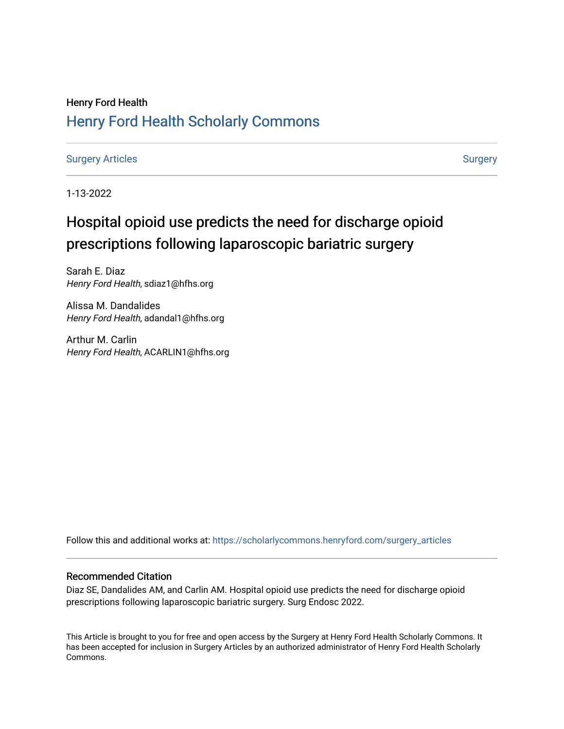### Henry Ford Health [Henry Ford Health Scholarly Commons](https://scholarlycommons.henryford.com/)

[Surgery Articles](https://scholarlycommons.henryford.com/surgery_articles) **[Surgery](https://scholarlycommons.henryford.com/surgery) Articles** Surgery

1-13-2022

# Hospital opioid use predicts the need for discharge opioid prescriptions following laparoscopic bariatric surgery

Sarah E. Diaz Henry Ford Health, sdiaz1@hfhs.org

Alissa M. Dandalides Henry Ford Health, adandal1@hfhs.org

Arthur M. Carlin Henry Ford Health, ACARLIN1@hfhs.org

Follow this and additional works at: [https://scholarlycommons.henryford.com/surgery\\_articles](https://scholarlycommons.henryford.com/surgery_articles?utm_source=scholarlycommons.henryford.com%2Fsurgery_articles%2F555&utm_medium=PDF&utm_campaign=PDFCoverPages)

#### Recommended Citation

Diaz SE, Dandalides AM, and Carlin AM. Hospital opioid use predicts the need for discharge opioid prescriptions following laparoscopic bariatric surgery. Surg Endosc 2022.

This Article is brought to you for free and open access by the Surgery at Henry Ford Health Scholarly Commons. It has been accepted for inclusion in Surgery Articles by an authorized administrator of Henry Ford Health Scholarly Commons.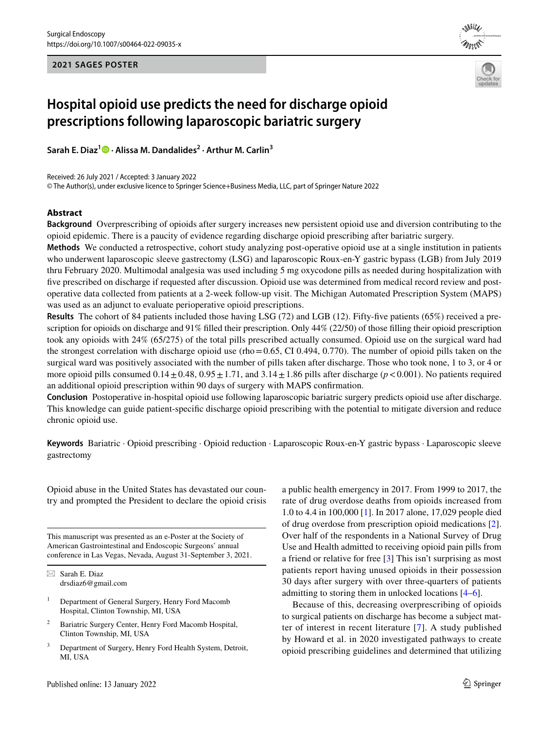**2021 SAGES POSTER**





## **Hospital opioid use predicts the need for discharge opioid prescriptions following laparoscopic bariatric surgery**

**Sarah E. Diaz<sup>1</sup>  [·](http://orcid.org/0000-0002-3549-6283) Alissa M. Dandalides2 · Arthur M. Carlin3**

Received: 26 July 2021 / Accepted: 3 January 2022

© The Author(s), under exclusive licence to Springer Science+Business Media, LLC, part of Springer Nature 2022

#### **Abstract**

**Background** Overprescribing of opioids after surgery increases new persistent opioid use and diversion contributing to the opioid epidemic. There is a paucity of evidence regarding discharge opioid prescribing after bariatric surgery.

**Methods** We conducted a retrospective, cohort study analyzing post-operative opioid use at a single institution in patients who underwent laparoscopic sleeve gastrectomy (LSG) and laparoscopic Roux-en-Y gastric bypass (LGB) from July 2019 thru February 2020. Multimodal analgesia was used including 5 mg oxycodone pills as needed during hospitalization with fve prescribed on discharge if requested after discussion. Opioid use was determined from medical record review and postoperative data collected from patients at a 2-week follow-up visit. The Michigan Automated Prescription System (MAPS) was used as an adjunct to evaluate perioperative opioid prescriptions.

**Results** The cohort of 84 patients included those having LSG (72) and LGB (12). Fifty-fve patients (65%) received a prescription for opioids on discharge and 91% flled their prescription. Only 44% (22/50) of those flling their opioid prescription took any opioids with 24% (65/275) of the total pills prescribed actually consumed. Opioid use on the surgical ward had the strongest correlation with discharge opioid use (rho=0.65, CI 0.494, 0.770). The number of opioid pills taken on the surgical ward was positively associated with the number of pills taken after discharge. Those who took none, 1 to 3, or 4 or more opioid pills consumed  $0.14 \pm 0.48$ ,  $0.95 \pm 1.71$ , and  $3.14 \pm 1.86$  pills after discharge ( $p < 0.001$ ). No patients required an additional opioid prescription within 90 days of surgery with MAPS confrmation.

**Conclusion** Postoperative in-hospital opioid use following laparoscopic bariatric surgery predicts opioid use after discharge. This knowledge can guide patient-specifc discharge opioid prescribing with the potential to mitigate diversion and reduce chronic opioid use.

**Keywords** Bariatric · Opioid prescribing · Opioid reduction · Laparoscopic Roux-en-Y gastric bypass · Laparoscopic sleeve gastrectomy

Opioid abuse in the United States has devastated our country and prompted the President to declare the opioid crisis

This manuscript was presented as an e-Poster at the Society of American Gastrointestinal and Endoscopic Surgeons' annual conference in Las Vegas, Nevada, August 31-September 3, 2021.

 $\boxtimes$  Sarah E. Diaz drsdiaz6@gmail.com

- <sup>1</sup> Department of General Surgery, Henry Ford Macomb Hospital, Clinton Township, MI, USA
- <sup>2</sup> Bariatric Surgery Center, Henry Ford Macomb Hospital, Clinton Township, MI, USA
- Department of Surgery, Henry Ford Health System, Detroit, MI, USA

a public health emergency in 2017. From 1999 to 2017, the rate of drug overdose deaths from opioids increased from 1.0 to 4.4 in 100,000 [[1\]](#page-7-0). In 2017 alone, 17,029 people died of drug overdose from prescription opioid medications [\[2](#page-7-1)]. Over half of the respondents in a National Survey of Drug Use and Health admitted to receiving opioid pain pills from a friend or relative for free [\[3](#page-7-2)] This isn't surprising as most patients report having unused opioids in their possession 30 days after surgery with over three-quarters of patients admitting to storing them in unlocked locations [[4–](#page-7-3)[6\]](#page-7-4).

Because of this, decreasing overprescribing of opioids to surgical patients on discharge has become a subject matter of interest in recent literature [\[7\]](#page-7-5). A study published by Howard et al. in 2020 investigated pathways to create opioid prescribing guidelines and determined that utilizing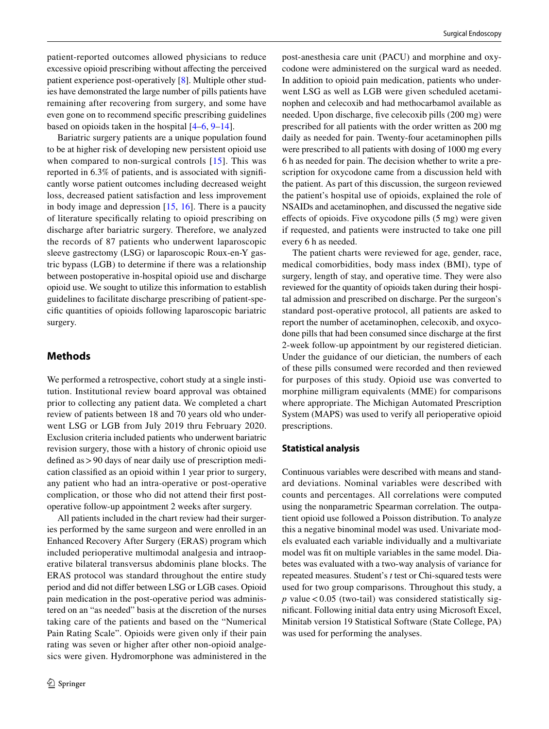patient-reported outcomes allowed physicians to reduce excessive opioid prescribing without affecting the perceived patient experience post-operatively [\[8](#page-7-6)]. Multiple other studies have demonstrated the large number of pills patients have remaining after recovering from surgery, and some have even gone on to recommend specifc prescribing guidelines based on opioids taken in the hospital [[4–](#page-7-3)[6,](#page-7-4) [9–](#page-7-7)[14](#page-7-8)].

Bariatric surgery patients are a unique population found to be at higher risk of developing new persistent opioid use when compared to non-surgical controls [[15](#page-7-9)]. This was reported in 6.3% of patients, and is associated with signifcantly worse patient outcomes including decreased weight loss, decreased patient satisfaction and less improvement in body image and depression [\[15,](#page-7-9) [16](#page-7-10)]. There is a paucity of literature specifcally relating to opioid prescribing on discharge after bariatric surgery. Therefore, we analyzed the records of 87 patients who underwent laparoscopic sleeve gastrectomy (LSG) or laparoscopic Roux-en-Y gastric bypass (LGB) to determine if there was a relationship between postoperative in-hospital opioid use and discharge opioid use. We sought to utilize this information to establish guidelines to facilitate discharge prescribing of patient-specifc quantities of opioids following laparoscopic bariatric surgery.

#### **Methods**

We performed a retrospective, cohort study at a single institution. Institutional review board approval was obtained prior to collecting any patient data. We completed a chart review of patients between 18 and 70 years old who underwent LSG or LGB from July 2019 thru February 2020. Exclusion criteria included patients who underwent bariatric revision surgery, those with a history of chronic opioid use defned as>90 days of near daily use of prescription medication classifed as an opioid within 1 year prior to surgery, any patient who had an intra-operative or post-operative complication, or those who did not attend their frst postoperative follow-up appointment 2 weeks after surgery.

All patients included in the chart review had their surgeries performed by the same surgeon and were enrolled in an Enhanced Recovery After Surgery (ERAS) program which included perioperative multimodal analgesia and intraoperative bilateral transversus abdominis plane blocks. The ERAS protocol was standard throughout the entire study period and did not difer between LSG or LGB cases. Opioid pain medication in the post-operative period was administered on an "as needed" basis at the discretion of the nurses taking care of the patients and based on the "Numerical Pain Rating Scale". Opioids were given only if their pain rating was seven or higher after other non-opioid analgesics were given. Hydromorphone was administered in the

post-anesthesia care unit (PACU) and morphine and oxycodone were administered on the surgical ward as needed. In addition to opioid pain medication, patients who underwent LSG as well as LGB were given scheduled acetaminophen and celecoxib and had methocarbamol available as needed. Upon discharge, fve celecoxib pills (200 mg) were prescribed for all patients with the order written as 200 mg daily as needed for pain. Twenty-four acetaminophen pills were prescribed to all patients with dosing of 1000 mg every 6 h as needed for pain. The decision whether to write a prescription for oxycodone came from a discussion held with the patient. As part of this discussion, the surgeon reviewed the patient's hospital use of opioids, explained the role of NSAIDs and acetaminophen, and discussed the negative side efects of opioids. Five oxycodone pills (5 mg) were given if requested, and patients were instructed to take one pill every 6 h as needed.

The patient charts were reviewed for age, gender, race, medical comorbidities, body mass index (BMI), type of surgery, length of stay, and operative time. They were also reviewed for the quantity of opioids taken during their hospital admission and prescribed on discharge. Per the surgeon's standard post-operative protocol, all patients are asked to report the number of acetaminophen, celecoxib, and oxycodone pills that had been consumed since discharge at the frst 2-week follow-up appointment by our registered dietician. Under the guidance of our dietician, the numbers of each of these pills consumed were recorded and then reviewed for purposes of this study. Opioid use was converted to morphine milligram equivalents (MME) for comparisons where appropriate. The Michigan Automated Prescription System (MAPS) was used to verify all perioperative opioid prescriptions.

#### **Statistical analysis**

Continuous variables were described with means and standard deviations. Nominal variables were described with counts and percentages. All correlations were computed using the nonparametric Spearman correlation. The outpatient opioid use followed a Poisson distribution. To analyze this a negative binominal model was used. Univariate models evaluated each variable individually and a multivariate model was ft on multiple variables in the same model. Diabetes was evaluated with a two-way analysis of variance for repeated measures. Student's *t* test or Chi-squared tests were used for two group comparisons. Throughout this study, a  $p$  value < 0.05 (two-tail) was considered statistically signifcant. Following initial data entry using Microsoft Excel, Minitab version 19 Statistical Software (State College, PA) was used for performing the analyses.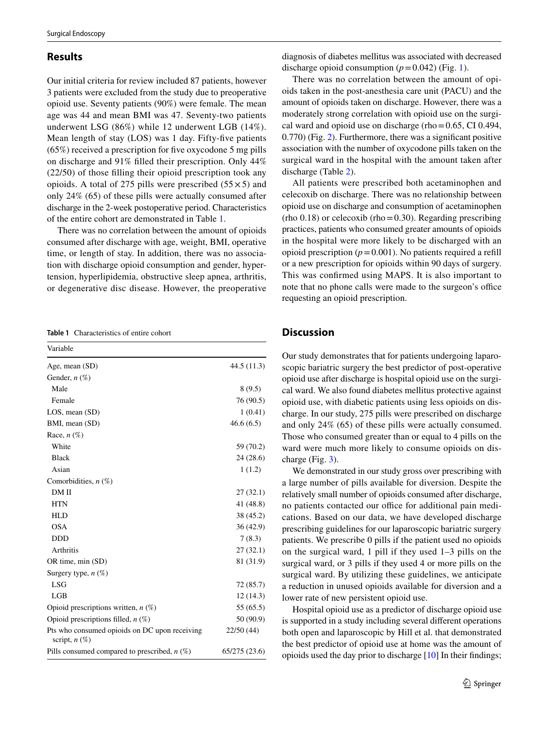#### **Results**

Our initial criteria for review included 87 patients, however 3 patients were excluded from the study due to preoperative opioid use. Seventy patients (90%) were female. The mean age was 44 and mean BMI was 47. Seventy-two patients underwent LSG (86%) while 12 underwent LGB (14%). Mean length of stay (LOS) was 1 day. Fifty-fve patients (65%) received a prescription for fve oxycodone 5 mg pills on discharge and 91% flled their prescription. Only 44% (22/50) of those flling their opioid prescription took any opioids. A total of 275 pills were prescribed  $(55 \times 5)$  and only 24% (65) of these pills were actually consumed after discharge in the 2-week postoperative period. Characteristics of the entire cohort are demonstrated in Table [1.](#page-3-0)

There was no correlation between the amount of opioids consumed after discharge with age, weight, BMI, operative time, or length of stay. In addition, there was no association with discharge opioid consumption and gender, hypertension, hyperlipidemia, obstructive sleep apnea, arthritis, or degenerative disc disease. However, the preoperative

<span id="page-3-0"></span>**Table 1** Characteristics of entire cohort

| Variable                                                         |               |
|------------------------------------------------------------------|---------------|
| Age, mean (SD)                                                   | 44.5(11.3)    |
| Gender, $n(\%)$                                                  |               |
| Male                                                             | 8(9.5)        |
| Female                                                           | 76 (90.5)     |
| LOS, mean(SD)                                                    | 1(0.41)       |
| BMI, mean (SD)                                                   | 46.6(6.5)     |
| Race, $n$ $(\%)$                                                 |               |
| White                                                            | 59 (70.2)     |
| <b>Black</b>                                                     | 24(28.6)      |
| Asian                                                            | 1(1.2)        |
| Comorbidities, $n$ (%)                                           |               |
| DM II                                                            | 27(32.1)      |
| <b>HTN</b>                                                       | 41 (48.8)     |
| <b>HLD</b>                                                       | 38 (45.2)     |
| <b>OSA</b>                                                       | 36(42.9)      |
| <b>DDD</b>                                                       | 7(8.3)        |
| <b>Arthritis</b>                                                 | 27(32.1)      |
| OR time, min (SD)                                                | 81 (31.9)     |
| Surgery type, $n$ (%)                                            |               |
| LSG                                                              | 72 (85.7)     |
| LGB                                                              | 12(14.3)      |
| Opioid prescriptions written, $n$ (%)                            | 55 (65.5)     |
| Opioid prescriptions filled, $n$ (%)                             | 50 (90.9)     |
| Pts who consumed opioids on DC upon receiving<br>script, $n(\%)$ | 22/50 (44)    |
| Pills consumed compared to prescribed, $n$ (%)                   | 65/275 (23.6) |

diagnosis of diabetes mellitus was associated with decreased discharge opioid consumption  $(p=0.042)$  (Fig. [1](#page-4-0)).

There was no correlation between the amount of opioids taken in the post-anesthesia care unit (PACU) and the amount of opioids taken on discharge. However, there was a moderately strong correlation with opioid use on the surgical ward and opioid use on discharge (rho $=0.65$ , CI 0.494, 0.770) (Fig. [2](#page-4-1)). Furthermore, there was a signifcant positive association with the number of oxycodone pills taken on the surgical ward in the hospital with the amount taken after discharge (Table [2](#page-5-0)).

All patients were prescribed both acetaminophen and celecoxib on discharge. There was no relationship between opioid use on discharge and consumption of acetaminophen  $(rho 0.18)$  or celecoxib  $(rho=0.30)$ . Regarding prescribing practices, patients who consumed greater amounts of opioids in the hospital were more likely to be discharged with an opioid prescription  $(p=0.001)$ . No patients required a refill or a new prescription for opioids within 90 days of surgery. This was confrmed using MAPS. It is also important to note that no phone calls were made to the surgeon's office requesting an opioid prescription.

#### **Discussion**

Our study demonstrates that for patients undergoing laparoscopic bariatric surgery the best predictor of post-operative opioid use after discharge is hospital opioid use on the surgical ward. We also found diabetes mellitus protective against opioid use, with diabetic patients using less opioids on discharge. In our study, 275 pills were prescribed on discharge and only 24% (65) of these pills were actually consumed. Those who consumed greater than or equal to 4 pills on the ward were much more likely to consume opioids on discharge (Fig. [3\)](#page-5-1).

We demonstrated in our study gross over prescribing with a large number of pills available for diversion. Despite the relatively small number of opioids consumed after discharge, no patients contacted our office for additional pain medications. Based on our data, we have developed discharge prescribing guidelines for our laparoscopic bariatric surgery patients. We prescribe 0 pills if the patient used no opioids on the surgical ward, 1 pill if they used 1–3 pills on the surgical ward, or 3 pills if they used 4 or more pills on the surgical ward. By utilizing these guidelines, we anticipate a reduction in unused opioids available for diversion and a lower rate of new persistent opioid use.

Hospital opioid use as a predictor of discharge opioid use is supported in a study including several diferent operations both open and laparoscopic by Hill et al. that demonstrated the best predictor of opioid use at home was the amount of opioids used the day prior to discharge [\[10](#page-7-11)] In their fndings;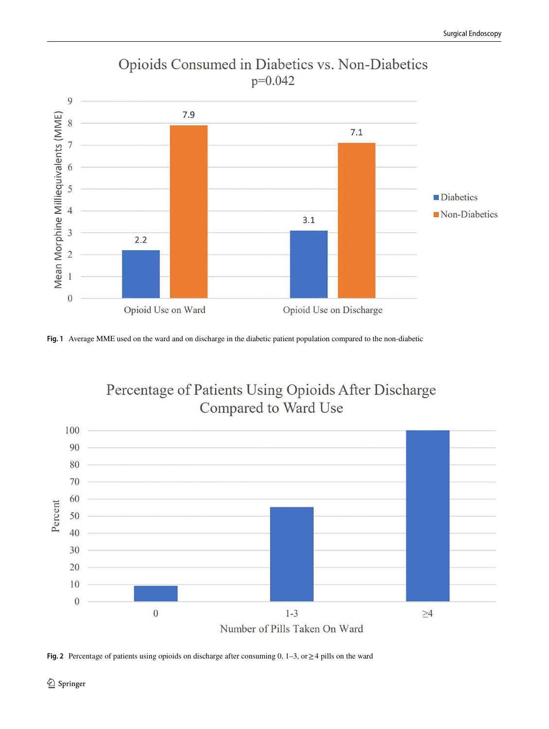

### Opioids Consumed in Diabetics vs. Non-Diabetics  $p=0.042$

<span id="page-4-0"></span>**Fig. 1** Average MME used on the ward and on discharge in the diabetic patient population compared to the non-diabetic



<span id="page-4-1"></span>**Fig. 2** Percentage of patients using opioids on discharge after consuming 0, 1–3, or≥4 pills on the ward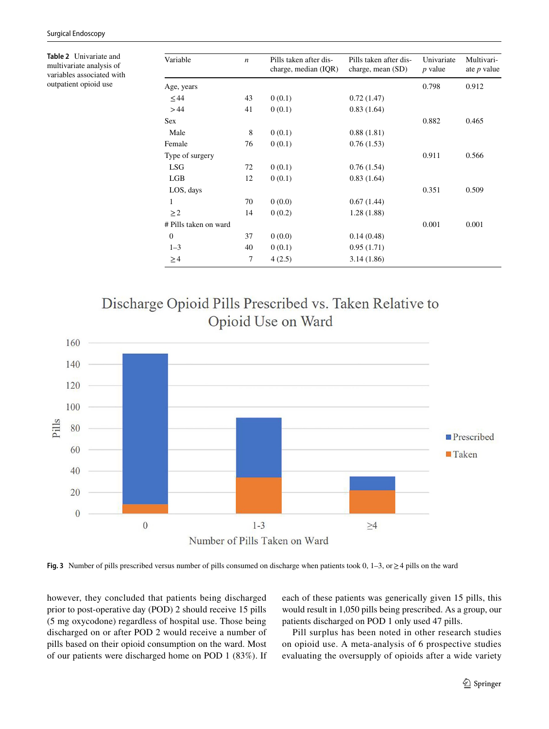<span id="page-5-0"></span>**Table 2** Univariate and multivariate analysis of variables associated with outpatient opioid use

| Variable              | $\boldsymbol{n}$ | Pills taken after dis- | Pills taken after dis-<br>charge, mean (SD) | Univariate<br><i>p</i> value | Multivari-<br>ate $p$ value |
|-----------------------|------------------|------------------------|---------------------------------------------|------------------------------|-----------------------------|
|                       |                  | charge, median (IQR)   |                                             |                              |                             |
| Age, years            |                  |                        |                                             | 0.798                        | 0.912                       |
| $\leq 44$             | 43               | 0(0.1)                 | 0.72(1.47)                                  |                              |                             |
| >44                   | 41               | 0(0.1)                 | 0.83(1.64)                                  |                              |                             |
| <b>Sex</b>            |                  |                        |                                             | 0.882                        | 0.465                       |
| Male                  | 8                | 0(0.1)                 | 0.88(1.81)                                  |                              |                             |
| Female                | 76               | 0(0.1)                 | 0.76(1.53)                                  |                              |                             |
| Type of surgery       |                  |                        |                                             | 0.911                        | 0.566                       |
| <b>LSG</b>            | 72               | 0(0.1)                 | 0.76(1.54)                                  |                              |                             |
| LGB                   | 12               | 0(0.1)                 | 0.83(1.64)                                  |                              |                             |
| LOS, days             |                  |                        |                                             | 0.351                        | 0.509                       |
| 1                     | 70               | 0(0.0)                 | 0.67(1.44)                                  |                              |                             |
| $\geq$ 2              | 14               | 0(0.2)                 | 1.28(1.88)                                  |                              |                             |
| # Pills taken on ward |                  |                        |                                             | 0.001                        | 0.001                       |
| $\theta$              | 37               | 0(0.0)                 | 0.14(0.48)                                  |                              |                             |
| $1 - 3$               | 40               | 0(0.1)                 | 0.95(1.71)                                  |                              |                             |
| $\geq 4$              | 7                | 4(2.5)                 | 3.14(1.86)                                  |                              |                             |





<span id="page-5-1"></span>**Fig. 3** Number of pills prescribed versus number of pills consumed on discharge when patients took 0, 1–3, or≥4 pills on the ward

however, they concluded that patients being discharged prior to post-operative day (POD) 2 should receive 15 pills (5 mg oxycodone) regardless of hospital use. Those being discharged on or after POD 2 would receive a number of pills based on their opioid consumption on the ward. Most of our patients were discharged home on POD 1 (83%). If each of these patients was generically given 15 pills, this would result in 1,050 pills being prescribed. As a group, our patients discharged on POD 1 only used 47 pills.

Pill surplus has been noted in other research studies on opioid use. A meta-analysis of 6 prospective studies evaluating the oversupply of opioids after a wide variety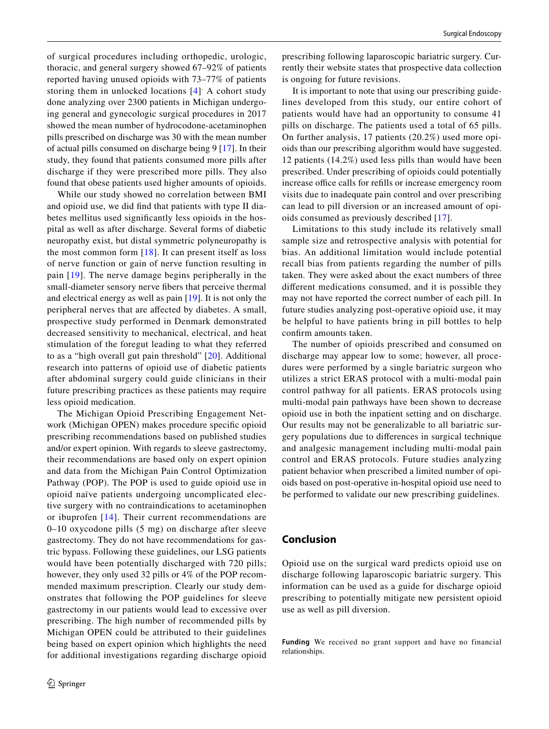of surgical procedures including orthopedic, urologic, thoracic, and general surgery showed 67–92% of patients reported having unused opioids with 73–77% of patients storing them in unlocked locations [[4](#page-7-3)] A cohort study done analyzing over 2300 patients in Michigan undergoing general and gynecologic surgical procedures in 2017 showed the mean number of hydrocodone-acetaminophen pills prescribed on discharge was 30 with the mean number of actual pills consumed on discharge being 9 [\[17](#page-7-12)]. In their study, they found that patients consumed more pills after discharge if they were prescribed more pills. They also found that obese patients used higher amounts of opioids.

While our study showed no correlation between BMI and opioid use, we did fnd that patients with type II diabetes mellitus used signifcantly less opioids in the hospital as well as after discharge. Several forms of diabetic neuropathy exist, but distal symmetric polyneuropathy is the most common form [\[18\]](#page-7-13). It can present itself as loss of nerve function or gain of nerve function resulting in pain [[19\]](#page-7-14). The nerve damage begins peripherally in the small-diameter sensory nerve fbers that perceive thermal and electrical energy as well as pain [[19](#page-7-14)]. It is not only the peripheral nerves that are afected by diabetes. A small, prospective study performed in Denmark demonstrated decreased sensitivity to mechanical, electrical, and heat stimulation of the foregut leading to what they referred to as a "high overall gut pain threshold" [\[20\]](#page-7-15). Additional research into patterns of opioid use of diabetic patients after abdominal surgery could guide clinicians in their future prescribing practices as these patients may require less opioid medication.

The Michigan Opioid Prescribing Engagement Network (Michigan OPEN) makes procedure specifc opioid prescribing recommendations based on published studies and/or expert opinion. With regards to sleeve gastrectomy, their recommendations are based only on expert opinion and data from the Michigan Pain Control Optimization Pathway (POP). The POP is used to guide opioid use in opioid naïve patients undergoing uncomplicated elective surgery with no contraindications to acetaminophen or ibuprofen [[14\]](#page-7-8). Their current recommendations are 0–10 oxycodone pills (5 mg) on discharge after sleeve gastrectomy. They do not have recommendations for gastric bypass. Following these guidelines, our LSG patients would have been potentially discharged with 720 pills; however, they only used 32 pills or 4% of the POP recommended maximum prescription. Clearly our study demonstrates that following the POP guidelines for sleeve gastrectomy in our patients would lead to excessive over prescribing. The high number of recommended pills by Michigan OPEN could be attributed to their guidelines being based on expert opinion which highlights the need for additional investigations regarding discharge opioid prescribing following laparoscopic bariatric surgery. Currently their website states that prospective data collection is ongoing for future revisions.

It is important to note that using our prescribing guidelines developed from this study, our entire cohort of patients would have had an opportunity to consume 41 pills on discharge. The patients used a total of 65 pills. On further analysis, 17 patients (20.2%) used more opioids than our prescribing algorithm would have suggested. 12 patients (14.2%) used less pills than would have been prescribed. Under prescribing of opioids could potentially increase office calls for refills or increase emergency room visits due to inadequate pain control and over prescribing can lead to pill diversion or an increased amount of opioids consumed as previously described [[17](#page-7-12)].

Limitations to this study include its relatively small sample size and retrospective analysis with potential for bias. An additional limitation would include potential recall bias from patients regarding the number of pills taken. They were asked about the exact numbers of three diferent medications consumed, and it is possible they may not have reported the correct number of each pill. In future studies analyzing post-operative opioid use, it may be helpful to have patients bring in pill bottles to help confrm amounts taken.

The number of opioids prescribed and consumed on discharge may appear low to some; however, all procedures were performed by a single bariatric surgeon who utilizes a strict ERAS protocol with a multi-modal pain control pathway for all patients. ERAS protocols using multi-modal pain pathways have been shown to decrease opioid use in both the inpatient setting and on discharge. Our results may not be generalizable to all bariatric surgery populations due to diferences in surgical technique and analgesic management including multi-modal pain control and ERAS protocols. Future studies analyzing patient behavior when prescribed a limited number of opioids based on post-operative in-hospital opioid use need to be performed to validate our new prescribing guidelines.

#### **Conclusion**

Opioid use on the surgical ward predicts opioid use on discharge following laparoscopic bariatric surgery. This information can be used as a guide for discharge opioid prescribing to potentially mitigate new persistent opioid use as well as pill diversion.

**Funding** We received no grant support and have no financial relationships.